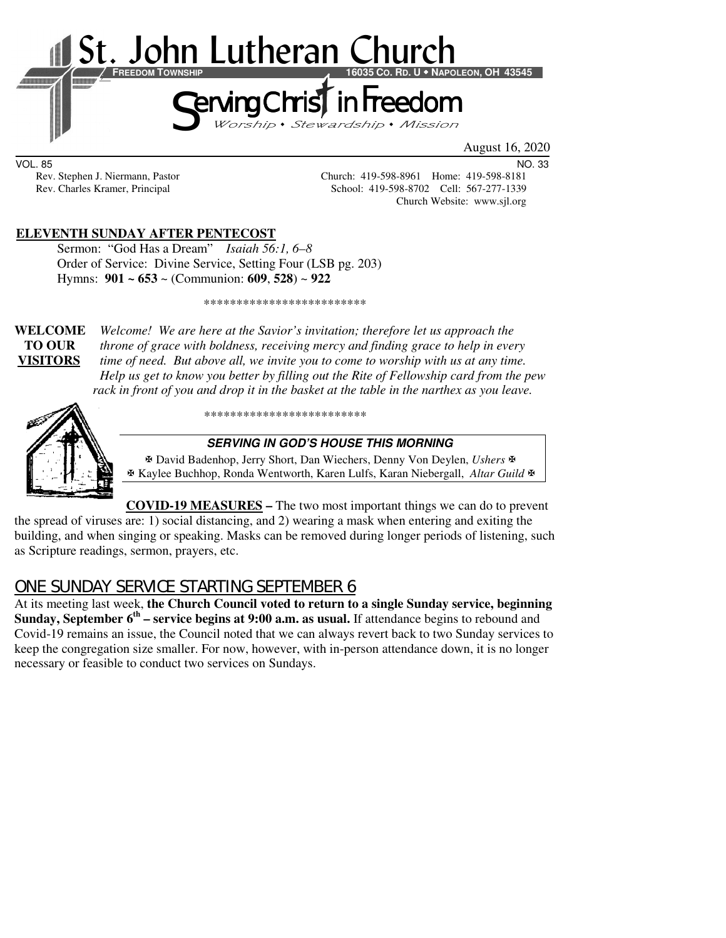

August 16, 2020

VOL. 85 NO. 33

Rev. Stephen J. Niermann, Pastor Church: 419-598-8961 Home: 419-598-8181<br>Rev. Charles Kramer, Principal School: 419-598-8702 Cell: 567-277-1339 School: 419-598-8702 Cell: 567-277-1339 Church Website: www.sjl.org

# **ELEVENTH SUNDAY AFTER PENTECOST**

Sermon: "God Has a Dream" *Isaiah 56:1, 6–8* Order of Service:Divine Service, Setting Four (LSB pg. 203) Hymns: **901 ~ 653** ~ (Communion: **609**, **528**) ~ **922**

\*\*\*\*\*\*\*\*\*\*\*\*\*\*\*\*\*\*\*\*\*\*\*\*\*

**WELCOME** *Welcome! We are here at the Savior's invitation; therefore let us approach the* **TO OUR** *throne of grace with boldness, receiving mercy and finding grace to help in every*  **VISITORS** *time of need. But above all, we invite you to come to worship with us at any time. Help us get to know you better by filling out the Rite of Fellowship card from the pew rack in front of you and drop it in the basket at the table in the narthex as you leave.* 



\*\*\*\*\*\*\*\*\*\*\*\*\*\*\*\*\*\*\*\*\*\*\*\*\*

#### **SERVING IN GOD'S HOUSE THIS MORNING**

 David Badenhop, Jerry Short, Dan Wiechers, Denny Von Deylen, *Ushers* Kaylee Buchhop, Ronda Wentworth, Karen Lulfs, Karan Niebergall, *Altar Guild*

**COVID-19 MEASURES –** The two most important things we can do to prevent the spread of viruses are: 1) social distancing, and 2) wearing a mask when entering and exiting the building, and when singing or speaking. Masks can be removed during longer periods of listening, such

# ONE SUNDAY SERVICE STARTING SEPTEMBER 6

as Scripture readings, sermon, prayers, etc.

At its meeting last week, **the Church Council voted to return to a single Sunday service, beginning Sunday, September 6th – service begins at 9:00 a.m. as usual.** If attendance begins to rebound and Covid-19 remains an issue, the Council noted that we can always revert back to two Sunday services to keep the congregation size smaller. For now, however, with in-person attendance down, it is no longer necessary or feasible to conduct two services on Sundays.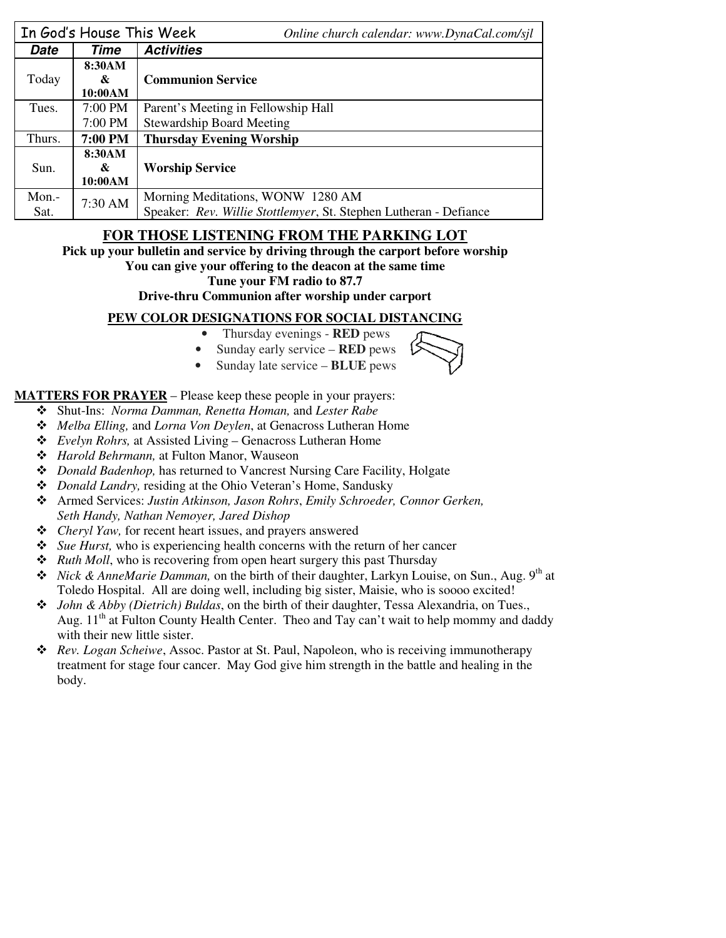|          | In God's House This Week | Online church calendar: www.DynaCal.com/sjl                       |  |  |
|----------|--------------------------|-------------------------------------------------------------------|--|--|
| Date     | Time                     | <b>Activities</b>                                                 |  |  |
|          | 8:30AM                   |                                                                   |  |  |
| Today    | &                        | <b>Communion Service</b>                                          |  |  |
|          | 10:00AM                  |                                                                   |  |  |
| Tues.    | 7:00 PM                  | Parent's Meeting in Fellowship Hall                               |  |  |
|          | 7:00 PM                  | <b>Stewardship Board Meeting</b>                                  |  |  |
| Thurs.   | 7:00 PM                  | <b>Thursday Evening Worship</b>                                   |  |  |
|          | 8:30AM                   |                                                                   |  |  |
| Sun.     | &                        | <b>Worship Service</b>                                            |  |  |
|          | 10:00AM                  |                                                                   |  |  |
| $Mon. -$ |                          | Morning Meditations, WONW 1280 AM                                 |  |  |
| Sat.     | 7:30 AM                  | Speaker: Rev. Willie Stottlemyer, St. Stephen Lutheran - Defiance |  |  |

# **FOR THOSE LISTENING FROM THE PARKING LOT**

**Pick up your bulletin and service by driving through the carport before worship** 

**You can give your offering to the deacon at the same time** 

**Tune your FM radio to 87.7** 

**Drive-thru Communion after worship under carport** 

## **PEW COLOR DESIGNATIONS FOR SOCIAL DISTANCING**

- Thursday evenings **RED** pews
- Sunday early service **RED** pews
- Sunday late service **BLUE** pews

**MATTERS FOR PRAYER** – Please keep these people in your prayers:

- Shut-Ins: *Norma Damman, Renetta Homan,* and *Lester Rabe*
- *Melba Elling,* and *Lorna Von Deylen*, at Genacross Lutheran Home
- *Evelyn Rohrs,* at Assisted Living Genacross Lutheran Home
- *Harold Behrmann,* at Fulton Manor, Wauseon
- *Donald Badenhop,* has returned to Vancrest Nursing Care Facility, Holgate
- *Donald Landry,* residing at the Ohio Veteran's Home, Sandusky
- Armed Services: *Justin Atkinson, Jason Rohrs*, *Emily Schroeder, Connor Gerken, Seth Handy, Nathan Nemoyer, Jared Dishop*
- *Cheryl Yaw,* for recent heart issues, and prayers answered
- *Sue Hurst,* who is experiencing health concerns with the return of her cancer
- *Ruth Moll*, who is recovering from open heart surgery this past Thursday
- ◆ *Nick & AnneMarie Damman*, on the birth of their daughter, Larkyn Louise, on Sun., Aug. 9<sup>th</sup> at Toledo Hospital. All are doing well, including big sister, Maisie, who is soooo excited!
- *John & Abby (Dietrich) Buldas*, on the birth of their daughter, Tessa Alexandria, on Tues., Aug.  $11<sup>th</sup>$  at Fulton County Health Center. Theo and Tay can't wait to help mommy and daddy with their new little sister.
- *Rev. Logan Scheiwe*, Assoc. Pastor at St. Paul, Napoleon, who is receiving immunotherapy treatment for stage four cancer. May God give him strength in the battle and healing in the body.



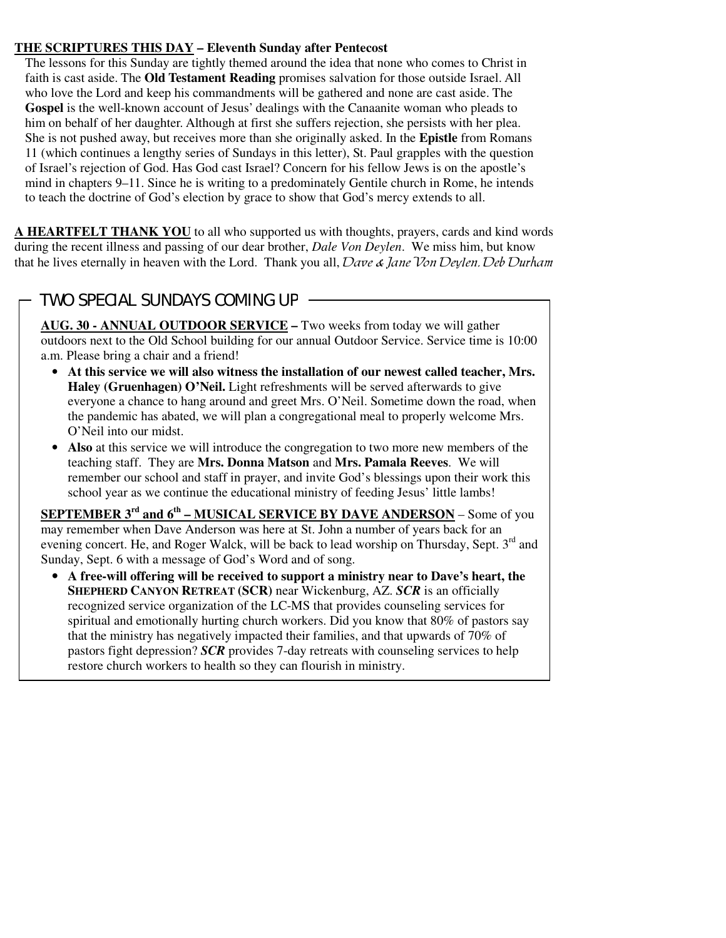#### **THE SCRIPTURES THIS DAY – Eleventh Sunday after Pentecost**

The lessons for this Sunday are tightly themed around the idea that none who comes to Christ in faith is cast aside. The **Old Testament Reading** promises salvation for those outside Israel. All who love the Lord and keep his commandments will be gathered and none are cast aside. The **Gospel** is the well-known account of Jesus' dealings with the Canaanite woman who pleads to him on behalf of her daughter. Although at first she suffers rejection, she persists with her plea. She is not pushed away, but receives more than she originally asked. In the **Epistle** from Romans 11 (which continues a lengthy series of Sundays in this letter), St. Paul grapples with the question of Israel's rejection of God. Has God cast Israel? Concern for his fellow Jews is on the apostle's mind in chapters 9–11. Since he is writing to a predominately Gentile church in Rome, he intends to teach the doctrine of God's election by grace to show that God's mercy extends to all.

**A HEARTFELT THANK YOU** to all who supported us with thoughts, prayers, cards and kind words during the recent illness and passing of our dear brother, *Dale Von Deylen*. We miss him, but know that he lives eternally in heaven with the Lord. Thank you all, Dave & Jane Von Devlen, Deb Durham

# TWO SPECIAL SUNDAYS COMING UP

 $\overline{a}$ 

**AUG. 30 - ANNUAL OUTDOOR SERVICE –** Two weeks from today we will gather outdoors next to the Old School building for our annual Outdoor Service. Service time is 10:00 a.m. Please bring a chair and a friend!

- **At this service we will also witness the installation of our newest called teacher, Mrs. Haley (Gruenhagen) O'Neil.** Light refreshments will be served afterwards to give everyone a chance to hang around and greet Mrs. O'Neil. Sometime down the road, when the pandemic has abated, we will plan a congregational meal to properly welcome Mrs. O'Neil into our midst.
- **Also** at this service we will introduce the congregation to two more new members of the teaching staff. They are **Mrs. Donna Matson** and **Mrs. Pamala Reeves**. We will remember our school and staff in prayer, and invite God's blessings upon their work this school year as we continue the educational ministry of feeding Jesus' little lambs!

**SEPTEMBER 3rd and 6th – MUSICAL SERVICE BY DAVE ANDERSON** – Some of you may remember when Dave Anderson was here at St. John a number of years back for an evening concert. He, and Roger Walck, will be back to lead worship on Thursday, Sept. 3<sup>rd</sup> and Sunday, Sept. 6 with a message of God's Word and of song.

• **A free-will offering will be received to support a ministry near to Dave's heart, the SHEPHERD CANYON RETREAT (SCR)** near Wickenburg, AZ. *SCR* is an officially recognized service organization of the LC-MS that provides counseling services for spiritual and emotionally hurting church workers. Did you know that 80% of pastors say that the ministry has negatively impacted their families, and that upwards of 70% of pastors fight depression? *SCR* provides 7-day retreats with counseling services to help restore church workers to health so they can flourish in ministry.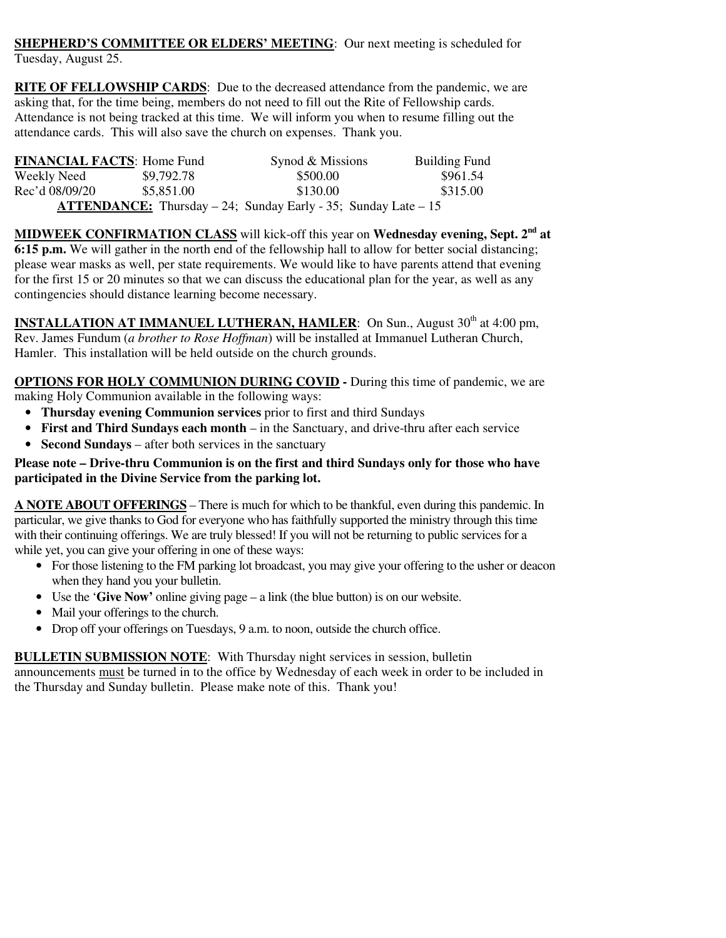**SHEPHERD'S COMMITTEE OR ELDERS' MEETING:** Our next meeting is scheduled for Tuesday, August 25.

**RITE OF FELLOWSHIP CARDS**: Due to the decreased attendance from the pandemic, we are asking that, for the time being, members do not need to fill out the Rite of Fellowship cards. Attendance is not being tracked at this time. We will inform you when to resume filling out the attendance cards. This will also save the church on expenses. Thank you.

| <b>FINANCIAL FACTS: Home Fund</b>                                          |            | Synod & Missions | <b>Building Fund</b> |  |  |
|----------------------------------------------------------------------------|------------|------------------|----------------------|--|--|
| Weekly Need                                                                | \$9,792.78 | \$500.00         | \$961.54             |  |  |
| Rec'd 08/09/20                                                             | \$5,851.00 | \$130.00         | \$315.00             |  |  |
| <b>ATTENDANCE:</b> Thursday $-24$ ; Sunday Early $-35$ ; Sunday Late $-15$ |            |                  |                      |  |  |

**MIDWEEK CONFIRMATION CLASS** will kick-off this year on **Wednesday evening, Sept. 2nd at 6:15 p.m.** We will gather in the north end of the fellowship hall to allow for better social distancing; please wear masks as well, per state requirements. We would like to have parents attend that evening for the first 15 or 20 minutes so that we can discuss the educational plan for the year, as well as any contingencies should distance learning become necessary.

**INSTALLATION AT IMMANUEL LUTHERAN, HAMLER:** On Sun., August 30<sup>th</sup> at 4:00 pm, Rev. James Fundum (*a brother to Rose Hoffman*) will be installed at Immanuel Lutheran Church, Hamler. This installation will be held outside on the church grounds.

**OPTIONS FOR HOLY COMMUNION DURING COVID -** During this time of pandemic, we are making Holy Communion available in the following ways:

- **Thursday evening Communion services** prior to first and third Sundays
- **First and Third Sundays each month** in the Sanctuary, and drive-thru after each service
- **Second Sundays** after both services in the sanctuary

#### **Please note – Drive-thru Communion is on the first and third Sundays only for those who have participated in the Divine Service from the parking lot.**

**A NOTE ABOUT OFFERINGS** – There is much for which to be thankful, even during this pandemic. In particular, we give thanks to God for everyone who has faithfully supported the ministry through this time with their continuing offerings. We are truly blessed! If you will not be returning to public services for a while yet, you can give your offering in one of these ways:

- For those listening to the FM parking lot broadcast, you may give your offering to the usher or deacon when they hand you your bulletin.
- Use the '**Give Now'** online giving page a link (the blue button) is on our website.
- Mail your offerings to the church.
- Drop off your offerings on Tuesdays, 9 a.m. to noon, outside the church office.

### **BULLETIN SUBMISSION NOTE**: With Thursday night services in session, bulletin

announcements must be turned in to the office by Wednesday of each week in order to be included in the Thursday and Sunday bulletin. Please make note of this. Thank you!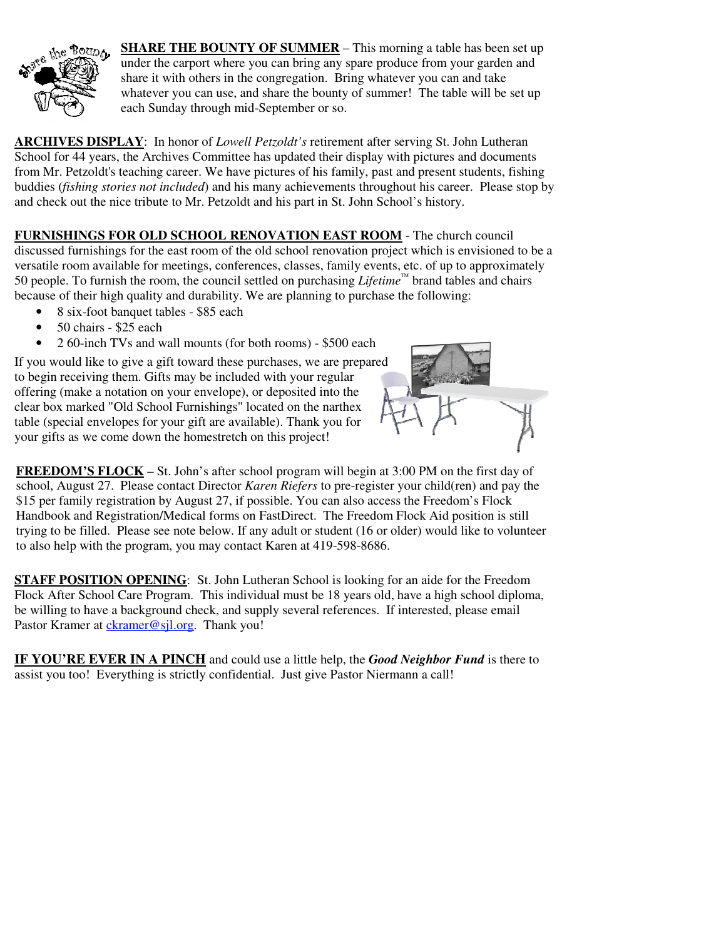

**SHARE THE BOUNTY OF SUMMER** – This morning a table has been set up under the carport where you can bring any spare produce from your garden and share it with others in the congregation. Bring whatever you can and take whatever you can use, and share the bounty of summer! The table will be set up each Sunday through mid-September or so.

**ARCHIVES DISPLAY**: In honor of *Lowell Petzoldt's* retirement after serving St. John Lutheran School for 44 years, the Archives Committee has updated their display with pictures and documents from Mr. Petzoldt's teaching career. We have pictures of his family, past and present students, fishing buddies (*fishing stories not included*) and his many achievements throughout his career. Please stop by and check out the nice tribute to Mr. Petzoldt and his part in St. John School's history.

**FURNISHINGS FOR OLD SCHOOL RENOVATION EAST ROOM** - The church council discussed furnishings for the east room of the old school renovation project which is envisioned to be a versatile room available for meetings, conferences, classes, family events, etc. of up to approximately 50 people. To furnish the room, the council settled on purchasing *Lifetime™* brand tables and chairs because of their high quality and durability. We are planning to purchase the following:

- 8 six-foot banquet tables \$85 each
- 50 chairs \$25 each
- 2 60-inch TVs and wall mounts (for both rooms) \$500 each

If you would like to give a gift toward these purchases, we are prepared to begin receiving them. Gifts may be included with your regular offering (make a notation on your envelope), or deposited into the clear box marked "Old School Furnishings" located on the narthex table (special envelopes for your gift are available). Thank you for your gifts as we come down the homestretch on this project!



**FREEDOM'S FLOCK** – St. John's after school program will begin at 3:00 PM on the first day of school, August 27. Please contact Director *Karen Riefers* to pre-register your child(ren) and pay the \$15 per family registration by August 27, if possible. You can also access the Freedom's Flock Handbook and Registration/Medical forms on FastDirect. The Freedom Flock Aid position is still trying to be filled. Please see note below. If any adult or student (16 or older) would like to volunteer to also help with the program, you may contact Karen at 419-598-8686.

**STAFF POSITION OPENING**: St. John Lutheran School is looking for an aide for the Freedom Flock After School Care Program. This individual must be 18 years old, have a high school diploma, be willing to have a background check, and supply several references. If interested, please email Pastor Kramer at *ckramer@sjl.org*. Thank you!

**IF YOU'RE EVER IN A PINCH** and could use a little help, the *Good Neighbor Fund* is there to assist you too! Everything is strictly confidential. Just give Pastor Niermann a call!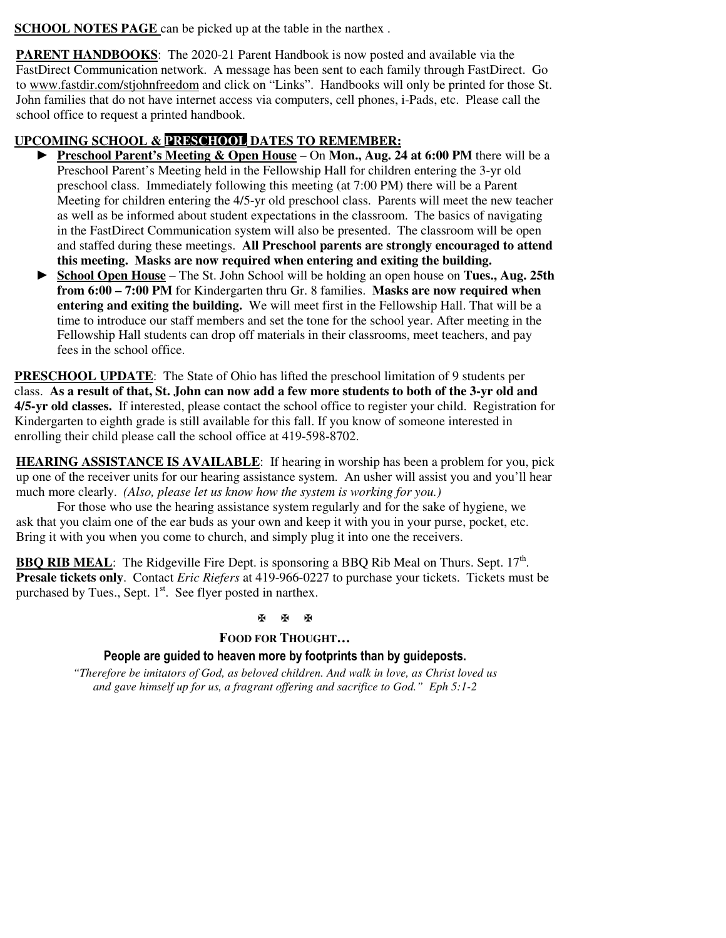**SCHOOL NOTES PAGE** can be picked up at the table in the narthex.

**PARENT HANDBOOKS:** The 2020-21 Parent Handbook is now posted and available via the FastDirect Communication network. A message has been sent to each family through FastDirect. Go to www.fastdir.com/stjohnfreedom and click on "Links". Handbooks will only be printed for those St. John families that do not have internet access via computers, cell phones, i-Pads, etc. Please call the school office to request a printed handbook.

## **UPCOMING SCHOOL & PRESCHOOL DATES TO REMEMBER:**

- ► **Preschool Parent's Meeting & Open House** On **Mon., Aug. 24 at 6:00 PM** there will be a Preschool Parent's Meeting held in the Fellowship Hall for children entering the 3-yr old preschool class. Immediately following this meeting (at 7:00 PM) there will be a Parent Meeting for children entering the 4/5-yr old preschool class. Parents will meet the new teacher as well as be informed about student expectations in the classroom. The basics of navigating in the FastDirect Communication system will also be presented. The classroom will be open and staffed during these meetings. **All Preschool parents are strongly encouraged to attend this meeting. Masks are now required when entering and exiting the building.**
- ► **School Open House** The St. John School will be holding an open house on **Tues., Aug. 25th from 6:00 – 7:00 PM** for Kindergarten thru Gr. 8 families. **Masks are now required when entering and exiting the building.** We will meet first in the Fellowship Hall. That will be a time to introduce our staff members and set the tone for the school year. After meeting in the Fellowship Hall students can drop off materials in their classrooms, meet teachers, and pay fees in the school office.

**PRESCHOOL UPDATE**: The State of Ohio has lifted the preschool limitation of 9 students per class. **As a result of that, St. John can now add a few more students to both of the 3-yr old and 4/5-yr old classes.** If interested, please contact the school office to register your child. Registration for Kindergarten to eighth grade is still available for this fall. If you know of someone interested in enrolling their child please call the school office at 419-598-8702.

**HEARING ASSISTANCE IS AVAILABLE**: If hearing in worship has been a problem for you, pick up one of the receiver units for our hearing assistance system. An usher will assist you and you'll hear much more clearly. *(Also, please let us know how the system is working for you.)* 

For those who use the hearing assistance system regularly and for the sake of hygiene, we ask that you claim one of the ear buds as your own and keep it with you in your purse, pocket, etc. Bring it with you when you come to church, and simply plug it into one the receivers.

**BBQ RIB MEAL**: The Ridgeville Fire Dept. is sponsoring a BBQ Rib Meal on Thurs. Sept. 17<sup>th</sup>. **Presale tickets only**. Contact *Eric Riefers* at 419-966-0227 to purchase your tickets. Tickets must be purchased by Tues., Sept.  $1<sup>st</sup>$ . See flyer posted in narthex.

#### 图图图

#### **FOOD FOR THOUGHT…**

#### **People are guided to heaven more by footprints than by guideposts.**

*"Therefore be imitators of God, as beloved children. And walk in love, as Christ loved us and gave himself up for us, a fragrant offering and sacrifice to God." Eph 5:1-2*